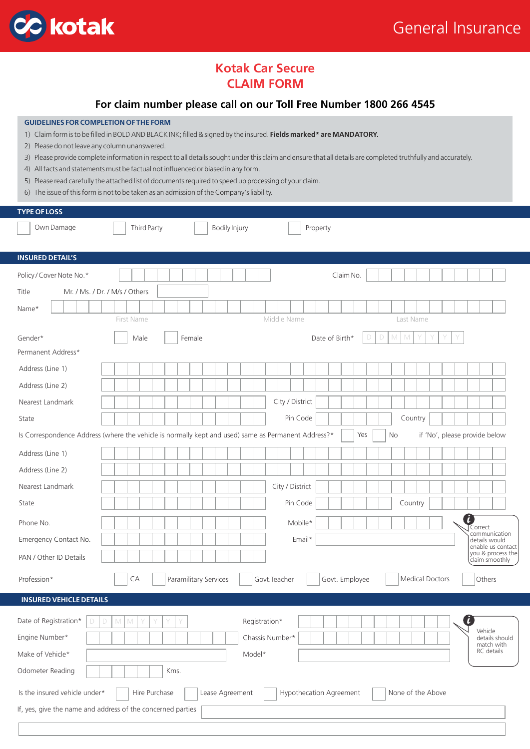

# **Kotak Car Secure CLAIM FORM**

## **For claim number please call on our Toll Free Number 1800 266 4545**

#### **GUIDELINES FOR COMPLETION OF THE FORM**

- 1) Claim form is to be filled in BOLD AND BLACK INK; filled & signed by the insured. **Fields marked\* are MANDATORY.**
- 2) Please do not leave any column unanswered.
- 3) Please provide complete information in respect to all details sought under this claim and ensure that all details are completed truthfully and accurately.
- 4) All facts and statements must be factual not influenced or biased in any form.
- 5) Please read carefully the attached list of documents required to speed up processing of your claim.
- 6) The issue of this form is not to be taken as an admission of the Company's liability.

| <b>TYPE OF LOSS</b>                                                                                                      |                                                                                                                                                   |  |  |  |  |  |  |
|--------------------------------------------------------------------------------------------------------------------------|---------------------------------------------------------------------------------------------------------------------------------------------------|--|--|--|--|--|--|
| Own Damage                                                                                                               | <b>Bodily Injury</b><br>Third Party<br>Property                                                                                                   |  |  |  |  |  |  |
|                                                                                                                          |                                                                                                                                                   |  |  |  |  |  |  |
| <b>INSURED DETAIL'S</b>                                                                                                  |                                                                                                                                                   |  |  |  |  |  |  |
| Policy / Cover Note No.*                                                                                                 | Claim No.                                                                                                                                         |  |  |  |  |  |  |
| Title<br>Mr. / Ms. / Dr. / M/s / Others                                                                                  |                                                                                                                                                   |  |  |  |  |  |  |
| Name*                                                                                                                    |                                                                                                                                                   |  |  |  |  |  |  |
|                                                                                                                          | Middle Name<br>First Name<br>Last Name                                                                                                            |  |  |  |  |  |  |
| Gender*                                                                                                                  | Date of Birth*<br>$\mathbb N$<br>Female<br>D<br>D<br>M<br>Male                                                                                    |  |  |  |  |  |  |
| Permanent Address*                                                                                                       |                                                                                                                                                   |  |  |  |  |  |  |
| Address (Line 1)                                                                                                         |                                                                                                                                                   |  |  |  |  |  |  |
| Address (Line 2)                                                                                                         |                                                                                                                                                   |  |  |  |  |  |  |
| Nearest Landmark                                                                                                         | City / District                                                                                                                                   |  |  |  |  |  |  |
| State                                                                                                                    | Pin Code<br>Country                                                                                                                               |  |  |  |  |  |  |
|                                                                                                                          | Is Correspondence Address (where the vehicle is normally kept and used) same as Permanent Address?*<br>Yes<br>if 'No', please provide below<br>No |  |  |  |  |  |  |
| Address (Line 1)                                                                                                         |                                                                                                                                                   |  |  |  |  |  |  |
| Address (Line 2)                                                                                                         |                                                                                                                                                   |  |  |  |  |  |  |
| Nearest Landmark                                                                                                         | City / District                                                                                                                                   |  |  |  |  |  |  |
| State                                                                                                                    | Pin Code<br>Country                                                                                                                               |  |  |  |  |  |  |
| Phone No.                                                                                                                | ĭ<br>Mobile*<br>Correct                                                                                                                           |  |  |  |  |  |  |
| Emergency Contact No.                                                                                                    | communication<br>Email*<br>details would                                                                                                          |  |  |  |  |  |  |
| PAN / Other ID Details                                                                                                   | enable us contact<br>you & process the<br>claim smoothly                                                                                          |  |  |  |  |  |  |
| Profession*                                                                                                              | <b>Medical Doctors</b><br>CА<br>Paramilitary Services<br>Govt. Employee<br>Others<br>Govt.Teacher                                                 |  |  |  |  |  |  |
|                                                                                                                          |                                                                                                                                                   |  |  |  |  |  |  |
| <b>INSURED VEHICLE DETAILS</b>                                                                                           |                                                                                                                                                   |  |  |  |  |  |  |
| Date of Registration*<br>D                                                                                               | ĭ.<br>Registration*<br>$\mathbb M$<br>$\Box$<br>$\mathbb M$                                                                                       |  |  |  |  |  |  |
| Engine Number*                                                                                                           | Vehicle<br>Chassis Number*<br>details should<br>match with                                                                                        |  |  |  |  |  |  |
| RC details<br>Make of Vehicle*<br>Model*                                                                                 |                                                                                                                                                   |  |  |  |  |  |  |
| Odometer Reading                                                                                                         | Kms.                                                                                                                                              |  |  |  |  |  |  |
| Is the insured vehicle under*<br>Hire Purchase<br>Lease Agreement<br><b>Hypothecation Agreement</b><br>None of the Above |                                                                                                                                                   |  |  |  |  |  |  |
| If, yes, give the name and address of the concerned parties                                                              |                                                                                                                                                   |  |  |  |  |  |  |
|                                                                                                                          |                                                                                                                                                   |  |  |  |  |  |  |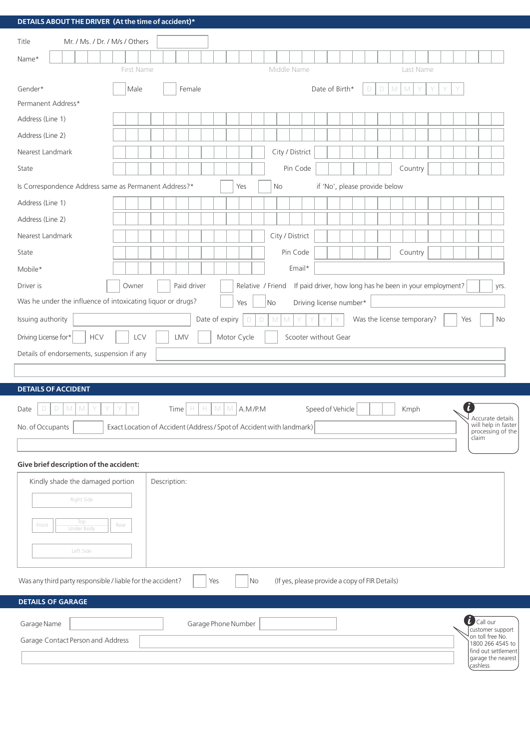| DETAILS ABOUT THE DRIVER (At the time of accident)*                                                                       |                                                              |  |  |  |  |  |  |  |
|---------------------------------------------------------------------------------------------------------------------------|--------------------------------------------------------------|--|--|--|--|--|--|--|
| Mr. / Ms. / Dr. / M/s / Others<br>Title                                                                                   |                                                              |  |  |  |  |  |  |  |
| Name*                                                                                                                     |                                                              |  |  |  |  |  |  |  |
| Middle Name<br>Last Name<br>First Name                                                                                    |                                                              |  |  |  |  |  |  |  |
| Gender*<br>$\Box$<br>Female<br>Date of Birth*<br>M<br>Male<br>M<br>D                                                      |                                                              |  |  |  |  |  |  |  |
| Permanent Address*                                                                                                        |                                                              |  |  |  |  |  |  |  |
| Address (Line 1)                                                                                                          |                                                              |  |  |  |  |  |  |  |
| Address (Line 2)                                                                                                          |                                                              |  |  |  |  |  |  |  |
| City / District<br>Nearest Landmark                                                                                       |                                                              |  |  |  |  |  |  |  |
| Pin Code<br>Country<br>State                                                                                              |                                                              |  |  |  |  |  |  |  |
| Is Correspondence Address same as Permanent Address?*<br>if 'No', please provide below<br>Yes<br>No                       |                                                              |  |  |  |  |  |  |  |
| Address (Line 1)                                                                                                          |                                                              |  |  |  |  |  |  |  |
| Address (Line 2)                                                                                                          |                                                              |  |  |  |  |  |  |  |
| City / District<br>Nearest Landmark                                                                                       |                                                              |  |  |  |  |  |  |  |
| Pin Code<br>Country<br>State                                                                                              |                                                              |  |  |  |  |  |  |  |
| Email*<br>Mobile*                                                                                                         |                                                              |  |  |  |  |  |  |  |
| Paid driver<br>If paid driver, how long has he been in your employment?<br>Driver is<br>Relative / Friend<br>Owner        | yrs.                                                         |  |  |  |  |  |  |  |
| Was he under the influence of intoxicating liquor or drugs?<br>Driving license number*<br><b>No</b><br>Yes                |                                                              |  |  |  |  |  |  |  |
| Date of expiry<br>Issuing authority<br>Was the license temporary?<br>M<br>M<br>D<br>D                                     | Yes<br>No                                                    |  |  |  |  |  |  |  |
| Driving License for*<br>Motor Cycle<br>Scooter without Gear<br><b>HCV</b><br>LCV<br>LMV                                   |                                                              |  |  |  |  |  |  |  |
| Details of endorsements, suspension if any                                                                                |                                                              |  |  |  |  |  |  |  |
|                                                                                                                           |                                                              |  |  |  |  |  |  |  |
| <b>DETAILS OF ACCIDENT</b>                                                                                                |                                                              |  |  |  |  |  |  |  |
| Speed of Vehicle<br>M<br>M<br>M<br>A.M/P.M<br>Date<br>Time<br>H<br>H.<br>Kmph<br>D<br>D<br>M                              | $\lfloor \tilde{t} \rfloor$                                  |  |  |  |  |  |  |  |
| No. of Occupants<br>Exact Location of Accident (Address / Spot of Accident with landmark)                                 | Accurate details<br>will help in faster<br>processing of the |  |  |  |  |  |  |  |
|                                                                                                                           | claim                                                        |  |  |  |  |  |  |  |
| Give brief description of the accident:                                                                                   |                                                              |  |  |  |  |  |  |  |
| Kindly shade the damaged portion<br>Description:                                                                          |                                                              |  |  |  |  |  |  |  |
| Right Side                                                                                                                |                                                              |  |  |  |  |  |  |  |
|                                                                                                                           |                                                              |  |  |  |  |  |  |  |
| Top<br>Front<br>Rear<br>Under Body                                                                                        |                                                              |  |  |  |  |  |  |  |
| Left Side                                                                                                                 |                                                              |  |  |  |  |  |  |  |
|                                                                                                                           |                                                              |  |  |  |  |  |  |  |
| Was any third party responsible / liable for the accident?<br>(If yes, please provide a copy of FIR Details)<br>No<br>Yes |                                                              |  |  |  |  |  |  |  |
| <b>DETAILS OF GARAGE</b>                                                                                                  |                                                              |  |  |  |  |  |  |  |
| Garage Phone Number<br>Garage Name                                                                                        | i<br>Call our                                                |  |  |  |  |  |  |  |
| customer support<br>on toll free No.<br>Garage Contact Person and Address                                                 |                                                              |  |  |  |  |  |  |  |
| 1800 266 4545 to<br>find out settlement<br>garage the nearest                                                             |                                                              |  |  |  |  |  |  |  |
|                                                                                                                           | cashless                                                     |  |  |  |  |  |  |  |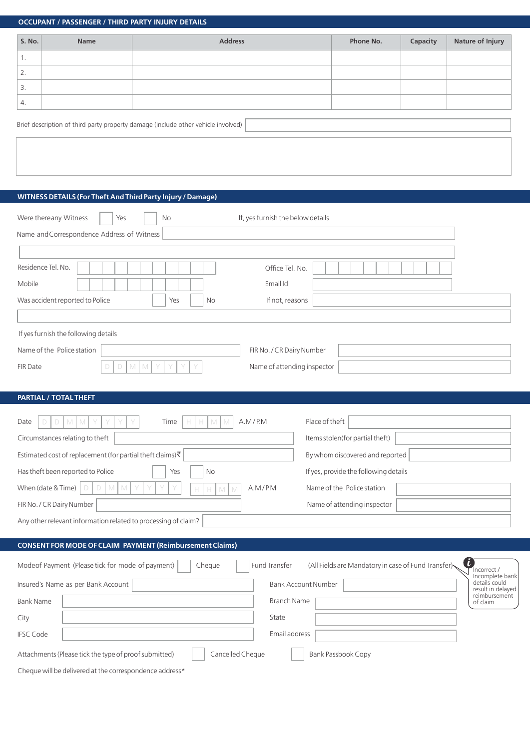|                                   | <b>OCCUPANT / PASSENGER / THIRD PARTY INJURY DETAILS</b>       |                                                                                   |                                                     |          |                                                |
|-----------------------------------|----------------------------------------------------------------|-----------------------------------------------------------------------------------|-----------------------------------------------------|----------|------------------------------------------------|
| S. No.                            | <b>Name</b>                                                    | <b>Address</b>                                                                    | Phone No.                                           | Capacity | <b>Nature of Injury</b>                        |
| 1.                                |                                                                |                                                                                   |                                                     |          |                                                |
| 2.                                |                                                                |                                                                                   |                                                     |          |                                                |
| 3.                                |                                                                |                                                                                   |                                                     |          |                                                |
| 4.                                |                                                                |                                                                                   |                                                     |          |                                                |
|                                   |                                                                | Brief description of third party property damage (include other vehicle involved) |                                                     |          |                                                |
|                                   |                                                                |                                                                                   |                                                     |          |                                                |
|                                   |                                                                |                                                                                   |                                                     |          |                                                |
|                                   |                                                                |                                                                                   |                                                     |          |                                                |
|                                   | WITNESS DETAILS (For Theft And Third Party Injury / Damage)    |                                                                                   |                                                     |          |                                                |
|                                   | Were thereany Witness<br>Yes                                   | If, yes furnish the below details<br>No                                           |                                                     |          |                                                |
|                                   | Name and Correspondence Address of Witness                     |                                                                                   |                                                     |          |                                                |
|                                   |                                                                |                                                                                   |                                                     |          |                                                |
|                                   | Residence Tel. No.                                             | Office Tel. No.                                                                   |                                                     |          |                                                |
| Mobile                            |                                                                | Email Id                                                                          |                                                     |          |                                                |
|                                   | Was accident reported to Police                                | If not, reasons<br>Yes<br>No                                                      |                                                     |          |                                                |
|                                   |                                                                |                                                                                   |                                                     |          |                                                |
|                                   | If yes furnish the following details                           |                                                                                   |                                                     |          |                                                |
|                                   | Name of the Police station                                     | FIR No. / CR Dairy Number                                                         |                                                     |          |                                                |
| <b>FIR Date</b>                   | D<br>D                                                         | Name of attending inspector<br>M<br>M<br>Y<br>Y                                   |                                                     |          |                                                |
|                                   |                                                                |                                                                                   |                                                     |          |                                                |
|                                   | <b>PARTIAL / TOTAL THEFT</b>                                   |                                                                                   |                                                     |          |                                                |
| Date                              | M<br>М                                                         | Time<br>A.M/P.M<br>М                                                              | Place of theft                                      |          |                                                |
|                                   | Circumstances relating to theft                                |                                                                                   | Items stolen(for partial theft)                     |          |                                                |
|                                   | Estimated cost of replacement (for partial theft claims)₹      |                                                                                   | By whom discovered and reported                     |          |                                                |
|                                   | Has theft been reported to Police                              | No<br>Yes                                                                         | If yes, provide the following details               |          |                                                |
|                                   | When (date & Time)                                             | A.M/P.M<br>$\mathbb M$<br>Н<br>M                                                  | Name of the Police station                          |          |                                                |
|                                   | FIR No. / CR Dairy Number                                      |                                                                                   | Name of attending inspector                         |          |                                                |
|                                   | Any other relevant information related to processing of claim? |                                                                                   |                                                     |          |                                                |
|                                   |                                                                | <b>CONSENT FOR MODE OF CLAIM PAYMENT (Reimbursement Claims)</b>                   |                                                     |          |                                                |
|                                   | Modeof Payment (Please tick for mode of payment)               | Fund Transfer<br>Cheque                                                           | (All Fields are Mandatory in case of Fund Transfer) |          | i<br>Incorrect /                               |
|                                   | Insured's Name as per Bank Account                             |                                                                                   | <b>Bank Account Number</b>                          |          | Incomplete bank<br>details could               |
| <b>Bank Name</b>                  |                                                                | <b>Branch Name</b>                                                                |                                                     |          | result in delayed<br>reimbursement<br>of claim |
| City                              |                                                                | State                                                                             |                                                     |          |                                                |
| <b>IFSC Code</b><br>Email address |                                                                |                                                                                   |                                                     |          |                                                |
|                                   | Attachments (Please tick the type of proof submitted)          | Cancelled Cheque                                                                  | Bank Passbook Copy                                  |          |                                                |
|                                   | Cheque will be delivered at the correspondence address*        |                                                                                   |                                                     |          |                                                |